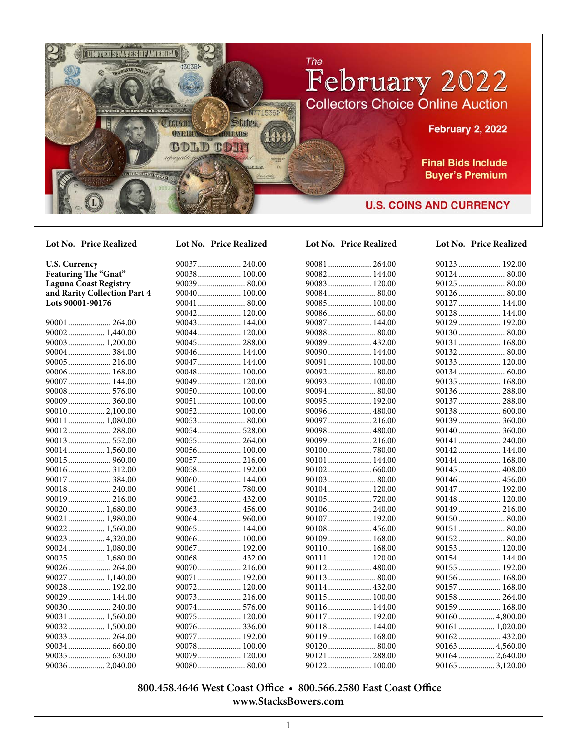

## **Lot No. Price Realized Lot No. Price Realized Lot No. Price Realized Lot No. Price Realized**

**U.S. Currency Featuring The "Gnat" Laguna Coast Registry and Rarity Collection Part 4 Lots 90001-90176**

| 90001  264.00   |
|-----------------|
| 90002 1,440.00  |
| 90003  1,200.00 |
| 90004 384.00    |
| 90005  216.00   |
| 90006 168.00    |
| 90007 144.00    |
| 90008 576.00    |
|                 |
|                 |
| 90011  1,080.00 |
| 90012 288.00    |
| 90013 552.00    |
| 90014 1,560.00  |
| 90015  960.00   |
|                 |
| 90017  384.00   |
| 90018 240.00    |
| 90019  216.00   |
| 90020  1,680.00 |
| 90021  1,980.00 |
| 90022 1,560.00  |
| 90023  4,320.00 |
| 90024  1,080.00 |
| 90025  1,680.00 |
| 90026 264.00    |
| 90027  1,140.00 |
| 90028 192.00    |
| 90029  144.00   |
| 90030 240.00    |
| 90031  1,560.00 |
| 90032 1,500.00  |
| 90033  264.00   |
| 90034  660.00   |
| 90035 630.00    |
| 90036 2,040.00  |

| 90037  240.00 |  |
|---------------|--|
| 90038 100.00  |  |
| 90039  80.00  |  |
| 90040  100.00 |  |
| 90041  80.00  |  |
| 90042 120.00  |  |
| 90043  144.00 |  |
| 90044 120.00  |  |
| 90045  288.00 |  |
| 90046  144.00 |  |
| 90047  144.00 |  |
| 90048 100.00  |  |
| 90049 120.00  |  |
| 90050 100.00  |  |
| 90051  100.00 |  |
| 90052 100.00  |  |
| 90053 80.00   |  |
| 90054 528.00  |  |
| 90055  264.00 |  |
| 90056 100.00  |  |
| 90057  216.00 |  |
| 90058 192.00  |  |
| 90060 144.00  |  |
|               |  |
| 90062 432.00  |  |
| 90063  456.00 |  |
| 90064 960.00  |  |
| 90065  144.00 |  |
| 90066 100.00  |  |
| 90067  192.00 |  |
| 90068 432.00  |  |
|               |  |
| 90071  192.00 |  |
| 90072 120.00  |  |
| 90073  216.00 |  |
|               |  |

90075..................... 120.00 90076..................... 336.00 90077..................... 192.00 90078..................... 100.00 90079..................... 120.00 90080....................... 80.00

### 90081..................... 264.00 90082..................... 144.00 90083..................... 120.00 90084....................... 80.00 90085..................... 100.00 90086....................... 60.00 90087..................... 144.00 90088....................... 80.00 90089..................... 432.00 90090..................... 144.00 90091..................... 100.00 90092....................... 80.00 90093..................... 100.00 90094....................... 80.00 90095..................... 192.00 90096..................... 480.00 90097..................... 216.00 90098..................... 480.00 90099..................... 216.00 90100..................... 780.00 90101..................... 144.00 90102..................... 660.00 90103....................... 80.00 90104..................... 120.00 90105..................... 720.00 90106..................... 240.00 90107..................... 192.00 90108..................... 456.00 90109..................... 168.00 90110..................... 168.00 90111..................... 120.00 90112..................... 480.00 90113....................... 80.00 90114..................... 432.00 90115..................... 100.00 90116..................... 144.00 90117..................... 192.00

90118..................... 144.00 90119..................... 168.00 90120....................... 80.00 90121..................... 288.00 90122..................... 100.00

| 90123 192.00    |
|-----------------|
| 90124 80.00     |
| 90125  80.00    |
|                 |
| 90127  144.00   |
| 90128 144.00    |
| 90129 192.00    |
| 90130 80.00     |
| 90131  168.00   |
| 90132 80.00     |
| 90133 120.00    |
|                 |
| 90135 168.00    |
| 90136 288.00    |
| 90137  288.00   |
|                 |
| 90139 360.00    |
| 90140 360.00    |
| 90141  240.00   |
| 90142 144.00    |
| 90144  168.00   |
| 90145  408.00   |
| 90146 456.00    |
| 90147  192.00   |
| 90148 120.00    |
| 90149 216.00    |
| 90150 80.00     |
| 90151  80.00    |
| 90152 80.00     |
| 90153 120.00    |
| 90154 144.00    |
| 90155 192.00    |
| 90156 168.00    |
| 90157  168.00   |
| 90158 264.00    |
| 90159 168.00    |
| 90160  4,800.00 |
| 90161  1,020.00 |
| 90162 432.00    |
| 90163  4,560.00 |
| 90164 2,640.00  |
| 901653,120.00   |

## **800.458.4646 West Coast Office • 800.566.2580 East Coast Office www.StacksBowers.com**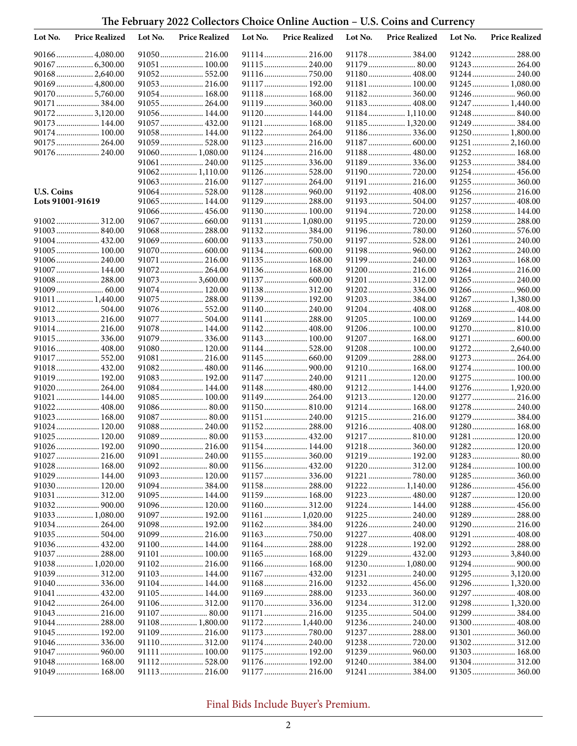# **The February 2022 Collectors Choice Online Auction – U.S. Coins and Currency**

| Lot No.           | <b>Price Realized</b> | Lot No. | <b>Price Realized</b>        | Lot No. | <b>Price Realized</b>         | Lot No. | <b>Price Realized</b>         | Lot No. | <b>Price Realized</b>         |
|-------------------|-----------------------|---------|------------------------------|---------|-------------------------------|---------|-------------------------------|---------|-------------------------------|
|                   | 90166 4,080.00        |         | 91050 216.00                 |         | 91114 216.00                  |         | 91178 384.00                  |         | 91242 288.00                  |
|                   | 90167  6,300.00       |         | 91051 100.00                 |         |                               |         | 91179 80.00                   |         | 91243  264.00                 |
|                   | 90168 2,640.00        |         | 91052 552.00                 |         |                               |         | 91180 408.00                  |         | 91244  240.00                 |
|                   | 90169  4,800.00       |         | 91053 216.00                 |         | 91117  192.00                 |         | 91181 100.00                  |         | 91245  1,080.00               |
|                   | 901705,760.00         |         | 91054 168.00                 |         | 91118 168.00                  |         | 91182 360.00                  |         | 91246 960.00                  |
|                   | 90171  384.00         |         | 91055 264.00                 |         | 91119 360.00                  |         | 91183 408.00                  |         | 91247  1,440.00               |
|                   | 90172 3,120.00        |         | 91056 144.00                 |         | 91120 144.00                  |         | 91184 1,110.00                |         | 91248 840.00                  |
|                   | 90173  144.00         |         | 91057  432.00                |         | 91121  168.00                 |         | 91185 1,320.00                |         | 91249  384.00                 |
|                   | 90174 100.00          |         | 91058 144.00                 |         | 91122 264.00                  |         | 91186 336.00                  |         | 91250 1,800.00                |
|                   | 90175  264.00         |         | 91059 528.00                 |         | 91123  216.00                 |         | 91187 600.00                  |         | 91251  2,160.00               |
|                   | 90176 240.00          |         | 91060 1,080.00               |         | 91124 216.00                  |         | 91188 480.00                  |         | 91252 168.00                  |
|                   |                       |         | 91061 240.00                 |         | 91125 336.00                  |         | 91189 336.00                  |         | 91253 384.00                  |
|                   |                       |         | 91062 1,110.00               |         | 91126 528.00                  |         |                               |         | 91254 456.00                  |
|                   |                       |         | 91063 216.00                 |         | 91127  264.00                 |         | 91191 216.00                  |         |                               |
| <b>U.S. Coins</b> |                       |         | 91064 528.00<br>91065 144.00 |         | 91128 960.00                  |         | 91192 408.00<br>91193 504.00  |         | 91256 216.00<br>91257  408.00 |
| Lots 91001-91619  |                       |         | 91066 456.00                 |         | 91129  288.00<br>91130 100.00 |         |                               |         | 91258 144.00                  |
|                   |                       |         |                              |         | 91131 1,080.00                |         |                               |         | 91259 288.00                  |
|                   | 91003 840.00          |         | 91068 288.00                 |         |                               |         |                               |         | 91260 576.00                  |
|                   | 91004 432.00          |         | 91069 600.00                 |         |                               |         | 91197  528.00                 |         | 91261  240.00                 |
|                   | 91005 100.00          |         | 91070 600.00                 |         | 91134 600.00                  |         | 91198 960.00                  |         |                               |
|                   | 91006 240.00          |         | 91071  216.00                |         | 91135 168.00                  |         | 91199 240.00                  |         | 91263 168.00                  |
|                   | 91007  144.00         |         | 91072 264.00                 |         | 91136 168.00                  |         | 91200 216.00                  |         | 91264 216.00                  |
|                   | 91008 288.00          |         | 91073 3,600.00               |         |                               |         | 91201  312.00                 |         | 91265 240.00                  |
|                   |                       |         | 91074 120.00                 |         | 91138 312.00                  |         | 91202 336.00                  |         | 91266 960.00                  |
|                   | 91011  1,440.00       |         | 91075 288.00                 |         | 91139 192.00                  |         |                               |         | 91267  1,380.00               |
|                   | 91012 504.00          |         | 91076 552.00                 |         | 91140 240.00                  |         | 91204 408.00                  |         |                               |
|                   | 91013 216.00          |         | 91077  504.00                |         | 91141  288.00                 |         | 91205 100.00                  |         | 91269 144.00                  |
|                   | 91014 216.00          |         | 91078 144.00                 |         | 91142 408.00                  |         | 91206 100.00                  |         | 91270 810.00                  |
|                   | 91015 336.00          |         | 91079 336.00                 |         | 91143 100.00                  |         | 91207  168.00                 |         | 91271  600.00                 |
|                   | 91016 408.00          |         | 91080 120.00                 |         | 91144 528.00                  |         | 91208 100.00                  |         | 91272 2,640.00                |
|                   | 91017  552.00         |         | 91081 216.00                 |         |                               |         | 91209 288.00                  |         | 91273 264.00                  |
|                   | 91018 432.00          |         | 91082 480.00                 |         |                               |         | 91210 168.00                  |         | 91274 100.00                  |
|                   | 91019 192.00          |         | 91083 192.00                 |         |                               |         | 91211  120.00                 |         | 91275 100.00                  |
|                   | 91020 264.00          |         | 91084 144.00                 |         | 91148  480.00                 |         | 91212 144.00                  |         | 91276  1,920.00               |
|                   | 91021  144.00         |         | 91085 100.00                 |         | 91149 264.00                  |         | 91213 120.00                  |         | 91277  216.00                 |
|                   | 91022 408.00          |         | 91086 80.00                  |         | 91150 810.00                  |         | 91214 168.00                  |         | 91278 240.00                  |
|                   | 91023 168.00          |         | 91087 80.00                  |         | 91151  240.00                 |         | 91215 216.00                  |         | 91279  384.00                 |
|                   | 91024 120.00          |         | 91088 240.00                 |         | 91152 288.00                  |         | 91216 408.00                  |         | 91280 168.00                  |
|                   | 91025 120.00          |         | 91089 80.00                  |         | 91153 432.00                  |         | 91217  810.00                 |         | 91281  120.00                 |
|                   | 91026 192.00          |         | 91090 216.00                 |         | 91154 144.00                  |         |                               |         | 91282 120.00                  |
|                   |                       |         |                              |         |                               |         | 91219  192.00                 |         |                               |
|                   | 91028 168.00          |         |                              |         |                               |         |                               |         |                               |
|                   | 91029  144.00         |         | 91093 120.00                 |         |                               |         |                               |         |                               |
|                   | 91030 120.00          |         | 91095 144.00                 |         | 91158 288.00                  |         | 91222 1,140.00                |         | 91286 456.00                  |
|                   |                       |         | 91096 120.00                 |         | 91159 168.00                  |         | 91223  480.00<br>91224 144.00 |         | 91287 120.00<br>91288 456.00  |
|                   | 91033 1,080.00        |         | 91097 192.00                 |         | 91161 1,020.00                |         |                               |         | 91289 288.00                  |
|                   | 91034 264.00          |         | 91098 192.00                 |         |                               |         | 91226 240.00                  |         | 91290 216.00                  |
|                   |                       |         |                              |         |                               |         | 91227  408.00                 |         | 91291  408.00                 |
|                   |                       |         | 91100 144.00                 |         |                               |         | 91228 192.00                  |         | 91292 288.00                  |
|                   |                       |         | 91101 100.00                 |         | 91165 168.00                  |         | 91229  432.00                 |         | 91293 3,840.00                |
|                   | 91038 1,020.00        |         | 91102 216.00                 |         | 91166 168.00                  |         | 91230 1,080.00                |         | 91294 900.00                  |
|                   |                       |         | 91103 144.00                 |         |                               |         | 91231  240.00                 |         | 91295  3,120.00               |
|                   | 91040336.00           |         | 91104 144.00                 |         | 91168 216.00                  |         |                               |         | 91296 1,320.00                |
|                   | 91041  432.00         |         | 91105 144.00                 |         | 91169 288.00                  |         | 91233 360.00                  |         | 91297  408.00                 |
|                   | 91042 264.00          |         | 91106 312.00                 |         | 91170 336.00                  |         | 91234 312.00                  |         | 91298 1,320.00                |
|                   | 91043  216.00         |         |                              |         | 91171  216.00                 |         |                               |         | 91299  384.00                 |
|                   | 91044 288.00          |         | 91108 1,800.00               |         | 91172 1,440.00                |         | 91236 240.00                  |         | 91300 408.00                  |
|                   | 91045 192.00          |         |                              |         |                               |         | 91237  288.00                 |         |                               |
|                   |                       |         |                              |         | 91174 240.00                  |         |                               |         | 91302 312.00                  |
|                   | 91047  960.00         |         | 91111  100.00                |         | 91175 192.00                  |         | 91239  960.00                 |         | 91303 168.00                  |
|                   | 91048 168.00          |         |                              |         | 91176 192.00                  |         | 91240 384.00                  |         |                               |
|                   | 91049  168.00         |         | 91113 216.00                 |         | 91177  216.00                 |         | 91241  384.00                 |         |                               |

# Final Bids Include Buyer's Premium.